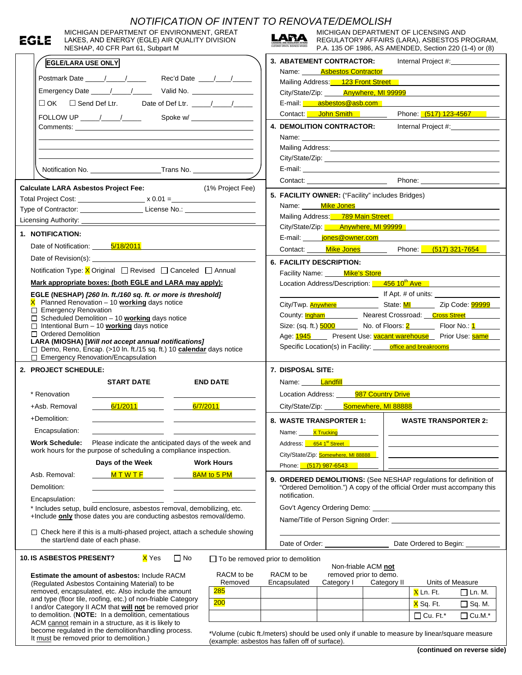|              |                                                                                                                               |                                                                                                                                                                                                                                                                                                                                                         | NOTIFICATION OF INTENT TO RENOVATE/DEMOLISH         |                                                         |                                                                                                        |             |                                                             |                     |  |
|--------------|-------------------------------------------------------------------------------------------------------------------------------|---------------------------------------------------------------------------------------------------------------------------------------------------------------------------------------------------------------------------------------------------------------------------------------------------------------------------------------------------------|-----------------------------------------------------|---------------------------------------------------------|--------------------------------------------------------------------------------------------------------|-------------|-------------------------------------------------------------|---------------------|--|
|              | MICHIGAN DEPARTMENT OF ENVIRONMENT, GREAT                                                                                     |                                                                                                                                                                                                                                                                                                                                                         |                                                     |                                                         | MICHIGAN DEPARTMENT OF LICENSING AND                                                                   |             |                                                             |                     |  |
| EGLE         | LAKES, AND ENERGY (EGLE) AIR QUALITY DIVISION<br>NESHAP, 40 CFR Part 61, Subpart M                                            |                                                                                                                                                                                                                                                                                                                                                         |                                                     | LARA                                                    | REGULATORY AFFAIRS (LARA), ASBESTOS PROGRAM,<br>P.A. 135 OF 1986, AS AMENDED, Section 220 (1-4) or (8) |             |                                                             |                     |  |
|              |                                                                                                                               |                                                                                                                                                                                                                                                                                                                                                         |                                                     |                                                         |                                                                                                        |             |                                                             |                     |  |
|              | <b>EGLE/LARA USE ONLY</b>                                                                                                     |                                                                                                                                                                                                                                                                                                                                                         |                                                     |                                                         | 3. ABATEMENT CONTRACTOR:<br>Name: <b>Asbestos Contractor</b>                                           |             |                                                             | Internal Project #: |  |
|              |                                                                                                                               |                                                                                                                                                                                                                                                                                                                                                         |                                                     |                                                         | Mailing Address: 123 Front Street                                                                      |             |                                                             |                     |  |
|              |                                                                                                                               |                                                                                                                                                                                                                                                                                                                                                         |                                                     |                                                         | City/State/Zip: <b>Anywhere, MI 99999</b>                                                              |             |                                                             |                     |  |
|              |                                                                                                                               |                                                                                                                                                                                                                                                                                                                                                         |                                                     |                                                         | E-mail: asbestos@asb.com                                                                               |             |                                                             |                     |  |
|              |                                                                                                                               |                                                                                                                                                                                                                                                                                                                                                         |                                                     |                                                         | Contact: <b>John Smith</b> Phone: (517) 123-4567                                                       |             |                                                             |                     |  |
|              |                                                                                                                               |                                                                                                                                                                                                                                                                                                                                                         |                                                     |                                                         | 4. DEMOLITION CONTRACTOR:                                                                              |             |                                                             | Internal Project #: |  |
|              |                                                                                                                               |                                                                                                                                                                                                                                                                                                                                                         |                                                     |                                                         |                                                                                                        |             |                                                             |                     |  |
|              |                                                                                                                               | Name: <u>example and a series of the series of the series of the series of the series of the series of the series of the series of the series of the series of the series of the series of the series of the series of the serie</u><br>Mailing Address: Mailing Address: Mailing Address: Mailing Address: Mailing Address: Mailing Address: Mailing A |                                                     |                                                         |                                                                                                        |             |                                                             |                     |  |
|              |                                                                                                                               |                                                                                                                                                                                                                                                                                                                                                         |                                                     |                                                         |                                                                                                        |             |                                                             |                     |  |
|              |                                                                                                                               |                                                                                                                                                                                                                                                                                                                                                         |                                                     |                                                         |                                                                                                        |             |                                                             |                     |  |
|              |                                                                                                                               |                                                                                                                                                                                                                                                                                                                                                         |                                                     |                                                         | Contact: Phone: Phone:                                                                                 |             |                                                             |                     |  |
|              | <b>Calculate LARA Asbestos Project Fee:</b>                                                                                   |                                                                                                                                                                                                                                                                                                                                                         | (1% Project Fee)                                    |                                                         | 5. FACILITY OWNER: ("Facility" includes Bridges)                                                       |             |                                                             |                     |  |
|              |                                                                                                                               |                                                                                                                                                                                                                                                                                                                                                         |                                                     |                                                         | Name: Mike Jones                                                                                       |             |                                                             |                     |  |
|              | Type of Contractor: __________________________License No.: _____________________                                              |                                                                                                                                                                                                                                                                                                                                                         |                                                     |                                                         | Mailing Address: 789 Main Street                                                                       |             |                                                             |                     |  |
|              |                                                                                                                               |                                                                                                                                                                                                                                                                                                                                                         |                                                     |                                                         | City/State/Zip: <b>Anywhere, MI 99999</b>                                                              |             |                                                             |                     |  |
|              | 1. NOTIFICATION:                                                                                                              |                                                                                                                                                                                                                                                                                                                                                         |                                                     |                                                         | E-mail: <b>iones@owner.com</b>                                                                         |             |                                                             |                     |  |
|              | Date of Notification: 5/18/2011                                                                                               |                                                                                                                                                                                                                                                                                                                                                         |                                                     |                                                         | Contact: Mike Jones Phone: (517) 321-7654                                                              |             |                                                             |                     |  |
|              |                                                                                                                               |                                                                                                                                                                                                                                                                                                                                                         |                                                     |                                                         | <b>6. FACILITY DESCRIPTION:</b>                                                                        |             |                                                             |                     |  |
|              | Notification Type: $X$ Original $\Box$ Revised $\Box$ Canceled $\Box$ Annual                                                  |                                                                                                                                                                                                                                                                                                                                                         |                                                     |                                                         | Facility Name: Mike's Store                                                                            |             |                                                             |                     |  |
|              | Mark appropriate boxes: (both EGLE and LARA may apply):                                                                       |                                                                                                                                                                                                                                                                                                                                                         |                                                     |                                                         | Location Address/Description: 456 10 <sup>th</sup> Ave                                                 |             |                                                             |                     |  |
|              | EGLE (NESHAP) [260 In. ft./160 sq. ft. or more is threshold]                                                                  |                                                                                                                                                                                                                                                                                                                                                         |                                                     |                                                         |                                                                                                        |             |                                                             |                     |  |
|              | $X$ Planned Renovation $-10$ working days notice                                                                              |                                                                                                                                                                                                                                                                                                                                                         |                                                     |                                                         | City/Twp. <b>Anywhere</b> State: MI Zip Code: 99999                                                    |             |                                                             |                     |  |
|              | $\Box$ Emergency Renovation<br>$\Box$ Scheduled Demolition - 10 working days notice                                           |                                                                                                                                                                                                                                                                                                                                                         |                                                     |                                                         | County: <b>Ingham</b> Nearest Crossroad: Cross Street                                                  |             |                                                             |                     |  |
|              | $\Box$ Intentional Burn - 10 working days notice                                                                              |                                                                                                                                                                                                                                                                                                                                                         |                                                     |                                                         | Size: (sq. ft.) <u>5000</u> No. of Floors: 2 Floor No.: 1                                              |             |                                                             |                     |  |
|              | □ Ordered Demolition                                                                                                          |                                                                                                                                                                                                                                                                                                                                                         |                                                     | Age: 1945 Present Use: vacant warehouse Prior Use: same |                                                                                                        |             |                                                             |                     |  |
|              | LARA (MIOSHA) [Will not accept annual notifications]<br>□ Demo, Reno, Encap. (>10 In. ft./15 sq. ft.) 10 calendar days notice |                                                                                                                                                                                                                                                                                                                                                         |                                                     |                                                         | Specific Location(s) in Facility: office and breakrooms                                                |             |                                                             |                     |  |
|              | $\Box$ Emergency Renovation/Encapsulation                                                                                     |                                                                                                                                                                                                                                                                                                                                                         |                                                     |                                                         |                                                                                                        |             |                                                             |                     |  |
|              | 2. PROJECT SCHEDULE:                                                                                                          |                                                                                                                                                                                                                                                                                                                                                         | 7. DISPOSAL SITE:                                   |                                                         |                                                                                                        |             |                                                             |                     |  |
|              | <b>START DATE</b>                                                                                                             |                                                                                                                                                                                                                                                                                                                                                         | <b>END DATE</b>                                     |                                                         | Name: <b>Landfill</b>                                                                                  |             |                                                             |                     |  |
| * Renovation |                                                                                                                               |                                                                                                                                                                                                                                                                                                                                                         |                                                     | Location Address:<br>987 Country Drive                  |                                                                                                        |             |                                                             |                     |  |
|              | 6/1/2011 <b>6/1/2011</b><br>+Asb. Removal                                                                                     |                                                                                                                                                                                                                                                                                                                                                         | 6/7/2011 <b>6/7/2011</b>                            |                                                         | City/State/Zip: <b>Somewhere, MI 88888</b>                                                             |             |                                                             |                     |  |
| +Demolition: |                                                                                                                               |                                                                                                                                                                                                                                                                                                                                                         |                                                     |                                                         |                                                                                                        |             |                                                             |                     |  |
|              |                                                                                                                               |                                                                                                                                                                                                                                                                                                                                                         | the contract of the contract of the contract of the | 8. WASTE TRANSPORTER 1:<br><b>WASTE TRANSPORTER 2:</b>  |                                                                                                        |             |                                                             |                     |  |
|              | Encapsulation:                                                                                                                |                                                                                                                                                                                                                                                                                                                                                         |                                                     | Name:                                                   | <b>X Trucking</b>                                                                                      |             |                                                             |                     |  |
|              | <b>Work Schedule:</b><br>Please indicate the anticipated days of the week and                                                 |                                                                                                                                                                                                                                                                                                                                                         |                                                     |                                                         | Address: 654 1st Street                                                                                |             | <u> 1989 - Johann Stein, mars an de Brazilian (b. 1989)</u> |                     |  |
|              | work hours for the purpose of scheduling a compliance inspection.<br>Days of the Week                                         |                                                                                                                                                                                                                                                                                                                                                         | <b>Work Hours</b>                                   | City/State/Zip: Somewhere, MI 88888                     |                                                                                                        |             |                                                             |                     |  |
|              |                                                                                                                               |                                                                                                                                                                                                                                                                                                                                                         |                                                     | Phone: (517) 987-6543                                   |                                                                                                        |             |                                                             |                     |  |
|              |                                                                                                                               |                                                                                                                                                                                                                                                                                                                                                         |                                                     |                                                         |                                                                                                        |             |                                                             |                     |  |
|              | $M$ T W T F<br>Asb. Removal:                                                                                                  |                                                                                                                                                                                                                                                                                                                                                         | 8AM to 5 PM                                         |                                                         | 9. ORDERED DEMOLITIONS: (See NESHAP regulations for definition of                                      |             |                                                             |                     |  |
| Demolition:  |                                                                                                                               |                                                                                                                                                                                                                                                                                                                                                         |                                                     |                                                         | "Ordered Demolition.") A copy of the official Order must accompany this                                |             |                                                             |                     |  |
|              | Encapsulation:                                                                                                                |                                                                                                                                                                                                                                                                                                                                                         |                                                     | notification.                                           |                                                                                                        |             |                                                             |                     |  |
|              | * Includes setup, build enclosure, asbestos removal, demobilizing, etc.                                                       |                                                                                                                                                                                                                                                                                                                                                         |                                                     |                                                         |                                                                                                        |             |                                                             |                     |  |
|              | +Include only those dates you are conducting asbestos removal/demo.                                                           |                                                                                                                                                                                                                                                                                                                                                         |                                                     |                                                         |                                                                                                        |             |                                                             |                     |  |
|              | $\Box$ Check here if this is a multi-phased project, attach a schedule showing                                                |                                                                                                                                                                                                                                                                                                                                                         |                                                     |                                                         |                                                                                                        |             |                                                             |                     |  |
|              | the start/end date of each phase.                                                                                             |                                                                                                                                                                                                                                                                                                                                                         |                                                     |                                                         | Date of Order: Date Ordered to Begin: Date Ordered to Begin:                                           |             |                                                             |                     |  |
|              | <b>10. IS ASBESTOS PRESENT?</b>                                                                                               | <mark>X</mark> Yes<br>$\Box$ No                                                                                                                                                                                                                                                                                                                         | $\Box$ To be removed prior to demolition            |                                                         |                                                                                                        |             |                                                             |                     |  |
|              |                                                                                                                               |                                                                                                                                                                                                                                                                                                                                                         |                                                     |                                                         | Non-friable ACM not                                                                                    |             |                                                             |                     |  |
|              | Estimate the amount of asbestos: Include RACM                                                                                 |                                                                                                                                                                                                                                                                                                                                                         | RACM to be<br>Removed                               | RACM to be<br>Encapsulated                              | removed prior to demo.<br>Category I                                                                   | Category II | Units of Measure                                            |                     |  |
|              | (Regulated Asbestos Containing Material) to be<br>removed, encapsulated, etc. Also include the amount                         |                                                                                                                                                                                                                                                                                                                                                         | <b>285</b>                                          |                                                         |                                                                                                        |             | X Ln. Ft.                                                   | $\Box$ Ln. M.       |  |
|              | and type (floor tile, roofing, etc.) of non-friable Category                                                                  |                                                                                                                                                                                                                                                                                                                                                         | 200                                                 |                                                         |                                                                                                        |             |                                                             |                     |  |
|              | I and/or Category II ACM that will not be removed prior                                                                       |                                                                                                                                                                                                                                                                                                                                                         |                                                     |                                                         |                                                                                                        |             | <mark>X</mark> Sq. Ft.                                      | $\square$ Sq. M.    |  |
|              | to demolition. (NOTE: In a demolition, cementatious<br>ACM cannot remain in a structure, as it is likely to                   |                                                                                                                                                                                                                                                                                                                                                         |                                                     |                                                         |                                                                                                        |             | $\Box$ Cu. Ft.*                                             | $\Box$ Cu.M.*       |  |
|              | become regulated in the demolition/handling process.<br>It must be removed prior to demolition.)                              |                                                                                                                                                                                                                                                                                                                                                         | (example: asbestos has fallen off of surface).      |                                                         | *Volume (cubic ft./meters) should be used only if unable to measure by linear/square measure           |             |                                                             |                     |  |